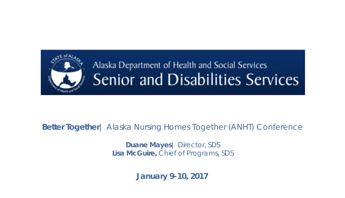

### Alaska Department of Health and Social Services Senior and Disabilities Services

#### **Better Together**| Alaska Nursing Homes Together (ANHT) Conference

**Duane Mayes**| Director, SDS **Lisa McGuire,** Chief of Programs, SDS

**January 9-10, 2017**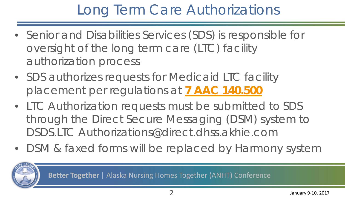## Long Term Care Authorizations

- Senior and Disabilities Services (SDS) is responsible for oversight of the long term care (LTC) facility authorization process
- SDS authorizes requests for Medicaid LTC facility placement per regulations at **[7 AAC 140.500](http://www.legis.state.ak.us/basis/aac.asp7.140.500)**
- LTC Authorization requests must be submitted to SDS through the Direct Secure Messaging (DSM) system to DSDS.LTC Authorizations@direct.dhss.akhie.com
- DSM & faxed forms will be replaced by Harmony system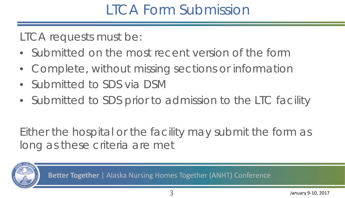### LTCA Form Submission

LTCA requests must be:

- Submitted on the most recent version of the form
- Complete, without missing sections or information
- Submitted to SDS via DSM
- Submitted to SDS prior to admission to the LTC facility

Either the hospital or the facility may submit the form as long as these criteria are met

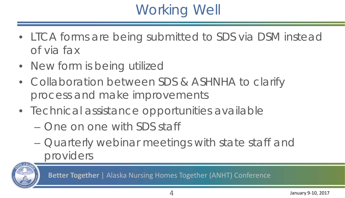# Working Well

- LTCA forms are being submitted to SDS via DSM instead of via fax
- New form is being utilized
- Collaboration between SDS & ASHNHA to clarify process and make improvements
- Technical assistance opportunities available
	- One on one with SDS staff
	- Quarterly webinar meetings with state staff and providers

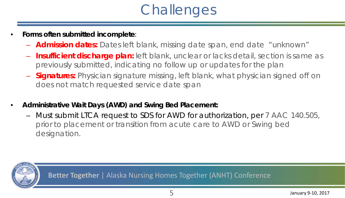# **Challenges**

- **Forms often submitted incomplete**:
	- **Admission dates:** Dates left blank, missing date span, end date "unknown"
	- **Insufficient discharge plan:** left blank, unclear or lacks detail, section is same as previously submitted, indicating no follow up or updates for the plan
	- **Signatures:** Physician signature missing, left blank, what physician signed off on does not match requested service date span
- **Administrative Wait Days (AWD) and Swing Bed Placement:**
	- Must submit LTCA request to SDS for AWD for authorization, per 7 AAC 140.505, prior to placement or transition from acute care to AWD or Swing bed designation.

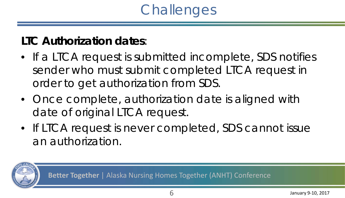# **Challenges**

#### **LTC Authorization dates**:

- If a LTCA request is submitted incomplete, SDS notifies sender who must submit completed LTCA request in order to get authorization from SDS.
- Once complete, authorization date is aligned with date of original LTCA request.
- If LTCA request is never completed, SDS cannot issue an authorization.

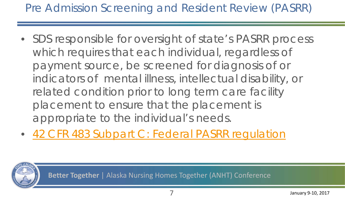#### Pre Admission Screening and Resident Review (PASRR)

- SDS responsible for oversight of state's PASRR process which requires that each individual, regardless of payment source, be screened for diagnosis of or indicators of mental illness, intellectual disability, or related condition prior to long term care facility placement to ensure that the placement is appropriate to the individual's needs.
- [42 CFR 483 Subpart C: Federal PASRR regulation](http://dhss.alaska.gov/dsds/Documents/PASRR/PASRR_Regulations.pdf)

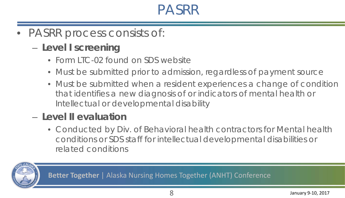### PASRR

- PASRR process consists of:
	- **Level I screening**
		- Form LTC-02 found on SDS website
		- Must be submitted prior to admission, regardless of payment source
		- Must be submitted when a resident experiences a change of condition that identifies a new diagnosis of or indicators of mental health or Intellectual or developmental disability

#### – **Level II evaluation**

• Conducted by Div. of Behavioral health contractors for Mental health conditions or SDS staff for intellectual developmental disabilities or related conditions

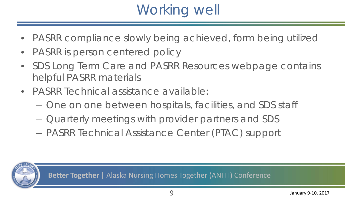# Working well

- PASRR compliance slowly being achieved, form being utilized
- PASRR is person centered policy
- SDS Long Term Care and PASRR Resources webpage contains helpful PASRR materials
- PASRR Technical assistance available:
	- One on one between hospitals, facilities, and SDS staff
	- Quarterly meetings with provider partners and SDS
	- PASRR Technical Assistance Center (PTAC) support

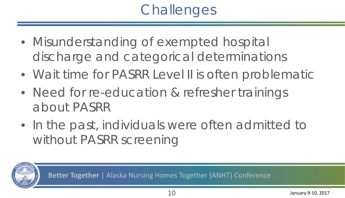# **Challenges**

- Misunderstanding of exempted hospital discharge and categorical determinations
- Wait time for PASRR Level II is often problematic
- Need for re-education & refresher trainings about PASRR
- In the past, individuals were often admitted to without PASRR screening

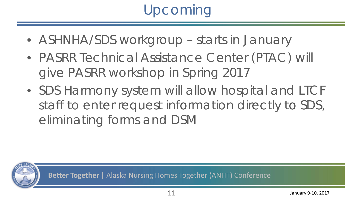# Upcoming

- ASHNHA/SDS workgroup starts in January
- PASRR Technical Assistance Center (PTAC) will give PASRR workshop in Spring 2017
- SDS Harmony system will allow hospital and LTCF staff to enter request information directly to SDS, eliminating forms and DSM

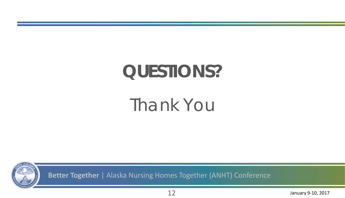# **QUESTIONS?**

# Thank You



**Better Together** | Alaska Nursing Homes Together (ANHT) Conference

12